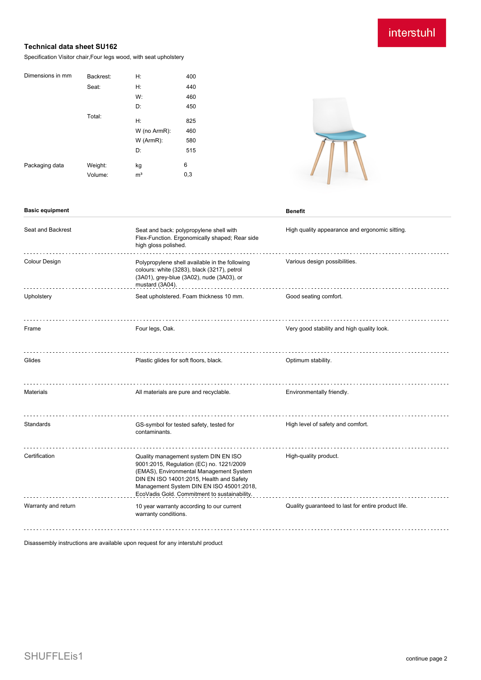## interstuhl

## **Technical data sheet SU162**

Specification Visitor chair,Four legs wood, with seat upholstery

| Dimensions in mm<br>Seat:<br>Total: | Backrest: | Н:             | 400 |
|-------------------------------------|-----------|----------------|-----|
|                                     |           | H:             | 440 |
|                                     |           | W:             | 460 |
|                                     |           | D:             | 450 |
|                                     |           | H:             | 825 |
|                                     |           | W (no ArmR):   | 460 |
|                                     |           | W (ArmR):      | 580 |
|                                     |           | D:             | 515 |
| Packaging data                      | Weight:   | kg             | 6   |
|                                     | Volume:   | m <sup>3</sup> | 0,3 |



| <b>Basic equipment</b> |                                                                                                                                                                                                                                                                     | <b>Benefit</b>                                      |
|------------------------|---------------------------------------------------------------------------------------------------------------------------------------------------------------------------------------------------------------------------------------------------------------------|-----------------------------------------------------|
| Seat and Backrest      | Seat and back: polypropylene shell with<br>Flex-Function. Ergonomically shaped; Rear side<br>high gloss polished.                                                                                                                                                   | High quality appearance and ergonomic sitting.      |
| Colour Design          | Polypropylene shell available in the following<br>colours: white (3283), black (3217), petrol<br>(3A01), grey-blue (3A02), nude (3A03), or<br>mustard (3A04).                                                                                                       | Various design possibilities.                       |
| Upholstery             | Seat upholstered. Foam thickness 10 mm.                                                                                                                                                                                                                             | Good seating comfort.                               |
| Frame                  | Four legs, Oak.                                                                                                                                                                                                                                                     | Very good stability and high quality look.          |
| Glides                 | Plastic glides for soft floors, black.                                                                                                                                                                                                                              | Optimum stability.                                  |
| <b>Materials</b>       | All materials are pure and recyclable.                                                                                                                                                                                                                              | Environmentally friendly.                           |
| Standards              | GS-symbol for tested safety, tested for<br>contaminants.                                                                                                                                                                                                            | High level of safety and comfort.                   |
| Certification          | Quality management system DIN EN ISO<br>9001:2015, Regulation (EC) no. 1221/2009<br>(EMAS), Environmental Management System<br>DIN EN ISO 14001:2015, Health and Safety<br>Management System DIN EN ISO 45001:2018,<br>EcoVadis Gold. Commitment to sustainability. | High-quality product.                               |
| Warranty and return    | 10 year warranty according to our current<br>warranty conditions.                                                                                                                                                                                                   | Quality guaranteed to last for entire product life. |
|                        |                                                                                                                                                                                                                                                                     |                                                     |

Disassembly instructions are available upon request for any interstuhl product